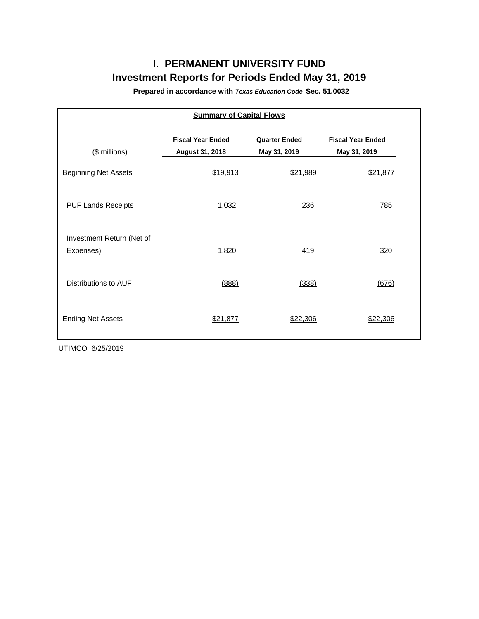# **I. PERMANENT UNIVERSITY FUND Investment Reports for Periods Ended May 31, 2019**

**Prepared in accordance with** *Texas Education Code* **Sec. 51.0032**

| <b>Summary of Capital Flows</b>        |                                             |                                      |                                          |  |  |  |  |  |  |  |
|----------------------------------------|---------------------------------------------|--------------------------------------|------------------------------------------|--|--|--|--|--|--|--|
| (\$ millions)                          | <b>Fiscal Year Ended</b><br>August 31, 2018 | <b>Quarter Ended</b><br>May 31, 2019 | <b>Fiscal Year Ended</b><br>May 31, 2019 |  |  |  |  |  |  |  |
| <b>Beginning Net Assets</b>            | \$19,913                                    | \$21,989                             | \$21,877                                 |  |  |  |  |  |  |  |
| <b>PUF Lands Receipts</b>              | 1,032                                       | 236                                  | 785                                      |  |  |  |  |  |  |  |
| Investment Return (Net of<br>Expenses) | 1,820                                       | 419                                  | 320                                      |  |  |  |  |  |  |  |
| Distributions to AUF                   | (888)                                       | (338)                                | (676)                                    |  |  |  |  |  |  |  |
| <b>Ending Net Assets</b>               | \$21,877                                    | <u>\$22,306</u>                      | \$22,306                                 |  |  |  |  |  |  |  |

UTIMCO 6/25/2019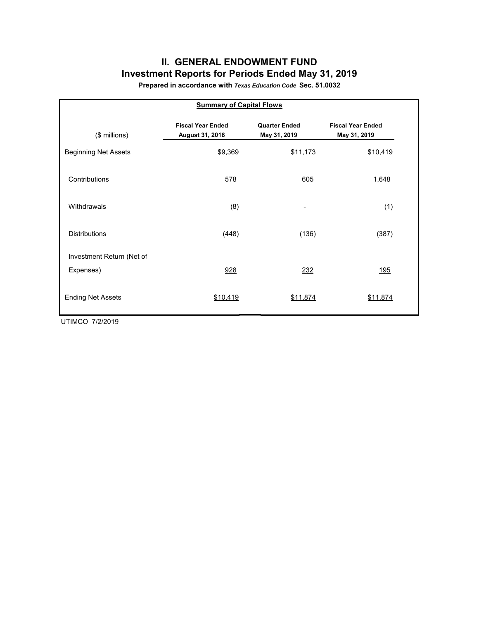## **II. GENERAL ENDOWMENT FUND Investment Reports for Periods Ended May 31, 2019**

**Prepared in accordance with** *Texas Education Code* **Sec. 51.0032**

| <b>Summary of Capital Flows</b> |                                             |                                      |                                          |  |  |  |  |  |  |  |
|---------------------------------|---------------------------------------------|--------------------------------------|------------------------------------------|--|--|--|--|--|--|--|
| (\$ millions)                   | <b>Fiscal Year Ended</b><br>August 31, 2018 | <b>Quarter Ended</b><br>May 31, 2019 | <b>Fiscal Year Ended</b><br>May 31, 2019 |  |  |  |  |  |  |  |
| <b>Beginning Net Assets</b>     | \$9,369                                     | \$11,173                             | \$10,419                                 |  |  |  |  |  |  |  |
| Contributions                   | 578                                         | 605                                  | 1,648                                    |  |  |  |  |  |  |  |
| Withdrawals                     | (8)                                         |                                      | (1)                                      |  |  |  |  |  |  |  |
| <b>Distributions</b>            | (448)                                       | (136)                                | (387)                                    |  |  |  |  |  |  |  |
| Investment Return (Net of       |                                             |                                      |                                          |  |  |  |  |  |  |  |
| Expenses)                       | 928                                         | 232                                  | <u>195</u>                               |  |  |  |  |  |  |  |
| <b>Ending Net Assets</b>        | \$10,419                                    | \$11,874                             | \$11,874                                 |  |  |  |  |  |  |  |

UTIMCO 7/2/2019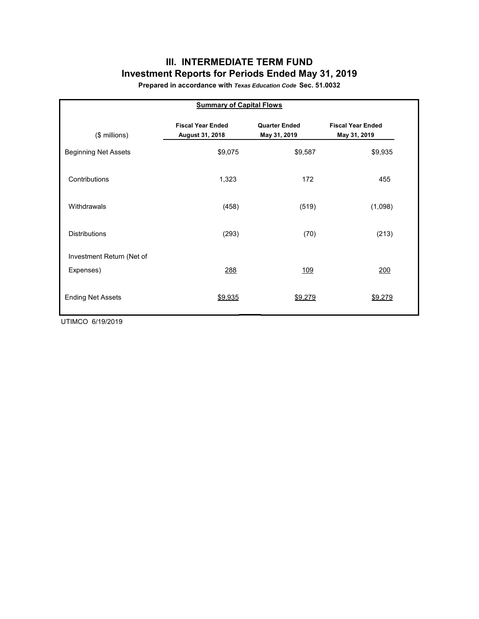## **III. INTERMEDIATE TERM FUND Investment Reports for Periods Ended May 31, 2019**

**Prepared in accordance with** *Texas Education Code* **Sec. 51.0032**

| <b>Summary of Capital Flows</b> |                                             |                                      |                                          |  |  |  |  |  |  |  |
|---------------------------------|---------------------------------------------|--------------------------------------|------------------------------------------|--|--|--|--|--|--|--|
| (\$ millions)                   | <b>Fiscal Year Ended</b><br>August 31, 2018 | <b>Quarter Ended</b><br>May 31, 2019 | <b>Fiscal Year Ended</b><br>May 31, 2019 |  |  |  |  |  |  |  |
| <b>Beginning Net Assets</b>     | \$9,075                                     | \$9,587                              | \$9,935                                  |  |  |  |  |  |  |  |
| Contributions                   | 1,323                                       | 172                                  | 455                                      |  |  |  |  |  |  |  |
| Withdrawals                     | (458)                                       | (519)                                | (1,098)                                  |  |  |  |  |  |  |  |
| <b>Distributions</b>            | (293)                                       | (70)                                 | (213)                                    |  |  |  |  |  |  |  |
| Investment Return (Net of       |                                             |                                      |                                          |  |  |  |  |  |  |  |
| Expenses)                       | 288                                         | 109                                  | 200                                      |  |  |  |  |  |  |  |
| <b>Ending Net Assets</b>        | \$9,935                                     | \$9,279                              | \$9,279                                  |  |  |  |  |  |  |  |

UTIMCO 6/19/2019